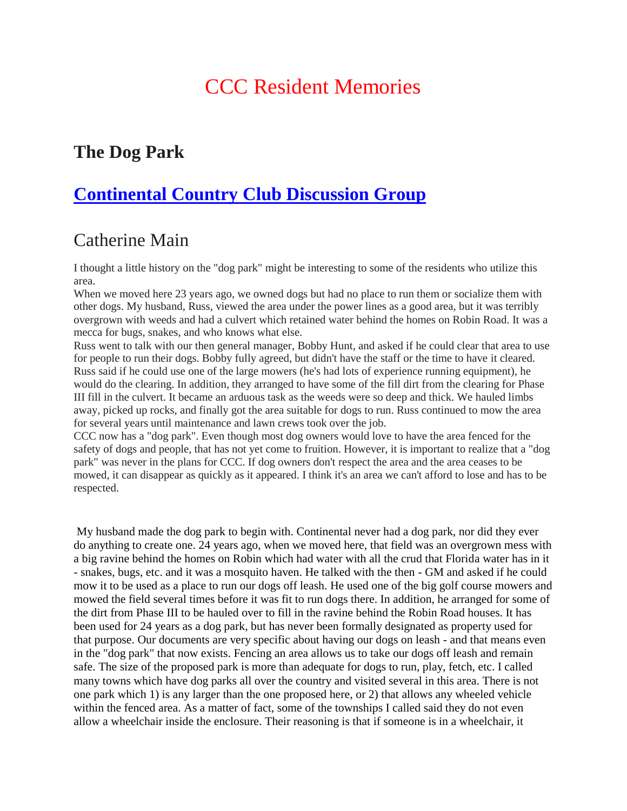# CCC Resident Memories

## **The Dog Park**

# **Continental Country Club Discussion Group**

## Catherine Main

I thought a little history on the "dog park" might be interesting to some of the residents who utilize this area.

When we moved here 23 years ago, we owned dogs but had no place to run them or socialize them with other dogs. My husband, Russ, viewed the area under the power lines as a good area, but it was terribly overgrown with weeds and had a culvert which retained water behind the homes on Robin Road. It was a mecca for bugs, snakes, and who knows what else.

Russ went to talk with our then general manager, Bobby Hunt, and asked if he could clear that area to use for people to run their dogs. Bobby fully agreed, but didn't have the staff or the time to have it cleared. Russ said if he could use one of the large mowers (he's had lots of experience running equipment), he would do the clearing. In addition, they arranged to have some of the fill dirt from the clearing for Phase III fill in the culvert. It became an arduous task as the weeds were so deep and thick. We hauled limbs away, picked up rocks, and finally got the area suitable for dogs to run. Russ continued to mow the area for several years until maintenance and lawn crews took over the job.

CCC now has a "dog park". Even though most dog owners would love to have the area fenced for the safety of dogs and people, that has not yet come to fruition. However, it is important to realize that a "dog park" was never in the plans for CCC. If dog owners don't respect the area and the area ceases to be mowed, it can disappear as quickly as it appeared. I think it's an area we can't afford to lose and has to be respected.

My husband made the dog park to begin with. Continental never had a dog park, nor did they ever do anything to create one. 24 years ago, when we moved here, that field was an overgrown mess with a big ravine behind the homes on Robin which had water with all the crud that Florida water has in it - snakes, bugs, etc. and it was a mosquito haven. He talked with the then - GM and asked if he could mow it to be used as a place to run our dogs off leash. He used one of the big golf course mowers and mowed the field several times before it was fit to run dogs there. In addition, he arranged for some of the dirt from Phase III to be hauled over to fill in the ravine behind the Robin Road houses. It has been used for 24 years as a dog park, but has never been formally designated as property used for that purpose. Our documents are very specific about having our dogs on leash - and that means even in the "dog park" that now exists. Fencing an area allows us to take our dogs off leash and remain safe. The size of the proposed park is more than adequate for dogs to run, play, fetch, etc. I called many towns which have dog parks all over the country and visited several in this area. There is not one park which 1) is any larger than the one proposed here, or 2) that allows any wheeled vehicle within the fenced area. As a matter of fact, some of the townships I called said they do not even allow a wheelchair inside the enclosure. Their reasoning is that if someone is in a wheelchair, it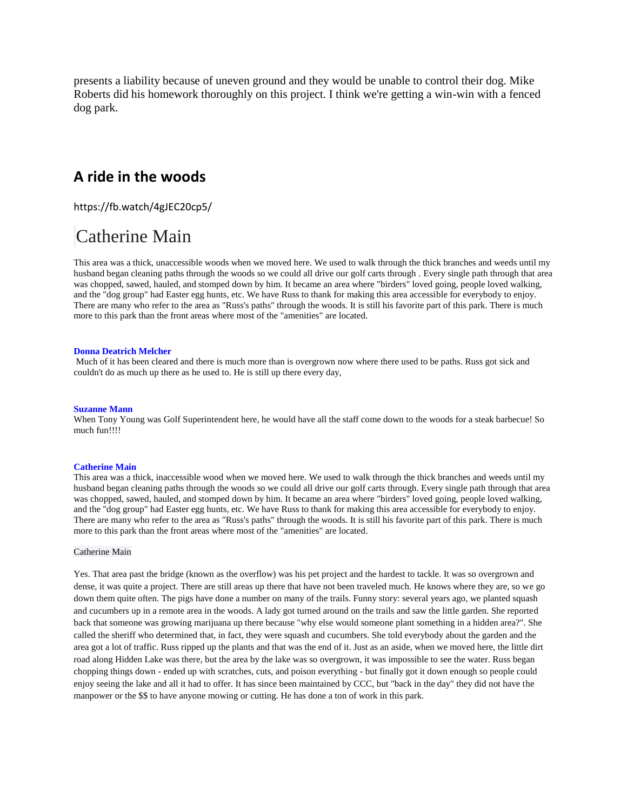presents a liability because of uneven ground and they would be unable to control their dog. Mike Roberts did his homework thoroughly on this project. I think we're getting a win-win with a fenced dog park.

## **A ride in the woods**

https://fb.watch/4gJEC20cp5/

## Catherine Main

This area was a thick, unaccessible woods when we moved here. We used to walk through the thick branches and weeds until my husband began cleaning paths through the woods so we could all drive our golf carts through . Every single path through that area was chopped, sawed, hauled, and stomped down by him. It became an area where "birders" loved going, people loved walking, and the "dog group" had Easter egg hunts, etc. We have Russ to thank for making this area accessible for everybody to enjoy. There are many who refer to the area as "Russ's paths" through the woods. It is still his favorite part of this park. There is much more to this park than the front areas where most of the "amenities" are located.

#### **Donna Deatrich Melcher**

Much of it has been cleared and there is much more than is overgrown now where there used to be paths. Russ got sick and couldn't do as much up there as he used to. He is still up there every day,

#### **Suzanne Mann**

When Tony Young was Golf Superintendent here, he would have all the staff come down to the woods for a steak barbecue! So much fun!!!!

#### **Catherine Main**

This area was a thick, inaccessible wood when we moved here. We used to walk through the thick branches and weeds until my husband began cleaning paths through the woods so we could all drive our golf carts through. Every single path through that area was chopped, sawed, hauled, and stomped down by him. It became an area where "birders" loved going, people loved walking, and the "dog group" had Easter egg hunts, etc. We have Russ to thank for making this area accessible for everybody to enjoy. There are many who refer to the area as "Russ's paths" through the woods. It is still his favorite part of this park. There is much more to this park than the front areas where most of the "amenities" are located.

#### Catherine Main

Yes. That area past the bridge (known as the overflow) was his pet project and the hardest to tackle. It was so overgrown and dense, it was quite a project. There are still areas up there that have not been traveled much. He knows where they are, so we go down them quite often. The pigs have done a number on many of the trails. Funny story: several years ago, we planted squash and cucumbers up in a remote area in the woods. A lady got turned around on the trails and saw the little garden. She reported back that someone was growing marijuana up there because "why else would someone plant something in a hidden area?". She called the sheriff who determined that, in fact, they were squash and cucumbers. She told everybody about the garden and the area got a lot of traffic. Russ ripped up the plants and that was the end of it. Just as an aside, when we moved here, the little dirt road along Hidden Lake was there, but the area by the lake was so overgrown, it was impossible to see the water. Russ began chopping things down - ended up with scratches, cuts, and poison everything - but finally got it down enough so people could enjoy seeing the lake and all it had to offer. It has since been maintained by CCC, but "back in the day" they did not have the manpower or the \$\$ to have anyone mowing or cutting. He has done a ton of work in this park.